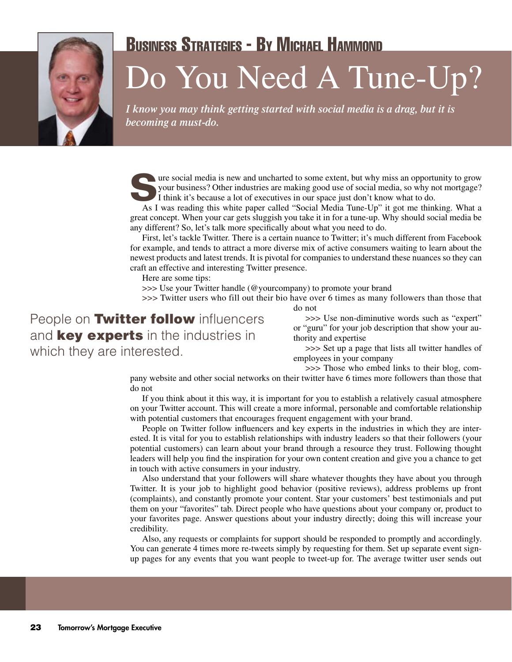

## Business Strategies - By Michael Hammond

## Do You Need A Tune-Up?

*I know you may think getting started with social media is a drag, but it is becoming a must-do.*

**Social media is new and uncharted to some extent, but why miss an opportunity to grow your business? Other industries are making good use of social media, so why not mortgage? I think it's because a lot of executives in o** your business? Other industries are making good use of social media, so why not mortgage?

As I was reading this white paper called "Social Media Tune-Up" it got me thinking. What a great concept. When your car gets sluggish you take it in for a tune-up. Why should social media be any different? So, let's talk more specifically about what you need to do.

First, let's tackle Twitter. There is a certain nuance to Twitter; it's much different from Facebook for example, and tends to attract a more diverse mix of active consumers waiting to learn about the newest products and latest trends. It is pivotal for companies to understand these nuances so they can craft an effective and interesting Twitter presence.

Here are some tips:

**>>>** Use your Twitter handle (@yourcompany) to promote your brand

**>>>** Twitter users who fill out their bio have over 6 times as many followers than those that

do not

People on **Twitter follow** influencers and **key experts** in the industries in which they are interested.

**>>>** Use non-diminutive words such as "expert" or "guru" for your job description that show your authority and expertise

**>>>** Set up a page that lists all twitter handles of employees in your company

**>>>** Those who embed links to their blog, com-

pany website and other social networks on their twitter have 6 times more followers than those that do not

If you think about it this way, it is important for you to establish a relatively casual atmosphere on your Twitter account. This will create a more informal, personable and comfortable relationship with potential customers that encourages frequent engagement with your brand.

People on Twitter follow influencers and key experts in the industries in which they are interested. It is vital for you to establish relationships with industry leaders so that their followers (your potential customers) can learn about your brand through a resource they trust. Following thought leaders will help you find the inspiration for your own content creation and give you a chance to get in touch with active consumers in your industry.

Also understand that your followers will share whatever thoughts they have about you through Twitter. It is your job to highlight good behavior (positive reviews), address problems up front (complaints), and constantly promote your content. Star your customers' best testimonials and put them on your "favorites" tab. Direct people who have questions about your company or, product to your favorites page. Answer questions about your industry directly; doing this will increase your credibility.

Also, any requests or complaints for support should be responded to promptly and accordingly. You can generate 4 times more re-tweets simply by requesting for them. Set up separate event signup pages for any events that you want people to tweet-up for. The average twitter user sends out